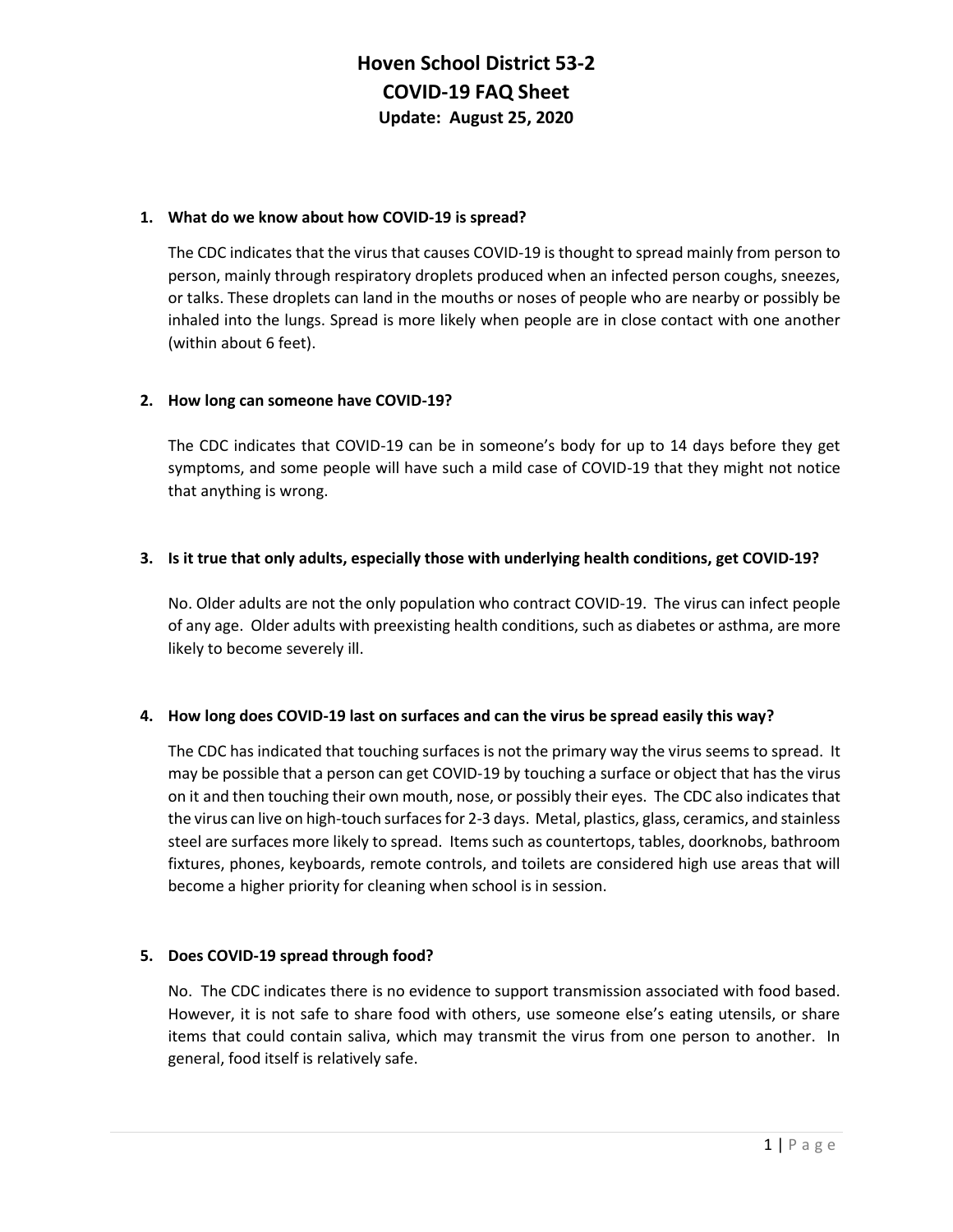# **Hoven School District 53-2 COVID-19 FAQ Sheet Update: August 25, 2020**

#### **1. What do we know about how COVID-19 is spread?**

The CDC indicates that the virus that causes COVID-19 is thought to spread mainly from person to person, mainly through respiratory droplets produced when an infected person coughs, sneezes, or talks. These droplets can land in the mouths or noses of people who are nearby or possibly be inhaled into the lungs. Spread is more likely when people are in close contact with one another (within about 6 feet).

#### **2. How long can someone have COVID-19?**

The CDC indicates that COVID-19 can be in someone's body for up to 14 days before they get symptoms, and some people will have such a mild case of COVID-19 that they might not notice that anything is wrong.

#### **3. Is it true that only adults, especially those with underlying health conditions, get COVID-19?**

No. Older adults are not the only population who contract COVID-19. The virus can infect people of any age. Older adults with preexisting health conditions, such as diabetes or asthma, are more likely to become severely ill.

#### **4. How long does COVID-19 last on surfaces and can the virus be spread easily this way?**

The CDC has indicated that touching surfaces is not the primary way the virus seems to spread. It may be possible that a person can get COVID-19 by touching a surface or object that has the virus on it and then touching their own mouth, nose, or possibly their eyes. The CDC also indicates that the virus can live on high-touch surfaces for 2-3 days. Metal, plastics, glass, ceramics, and stainless steel are surfaces more likely to spread. Items such as countertops, tables, doorknobs, bathroom fixtures, phones, keyboards, remote controls, and toilets are considered high use areas that will become a higher priority for cleaning when school is in session.

#### **5. Does COVID-19 spread through food?**

No. The CDC indicates there is no evidence to support transmission associated with food based. However, it is not safe to share food with others, use someone else's eating utensils, or share items that could contain saliva, which may transmit the virus from one person to another. In general, food itself is relatively safe.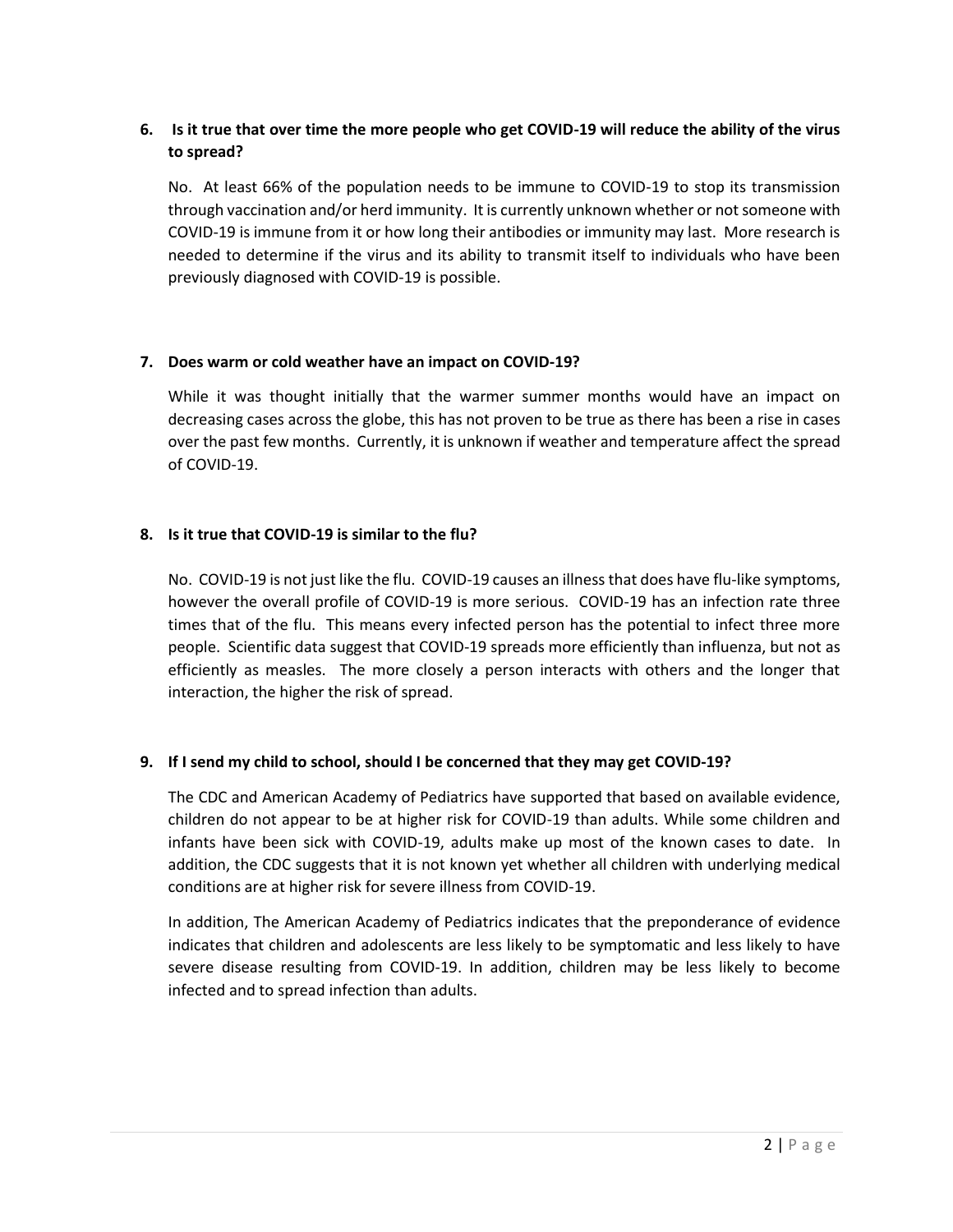# **6. Is it true that over time the more people who get COVID-19 will reduce the ability of the virus to spread?**

No. At least 66% of the population needs to be immune to COVID-19 to stop its transmission through vaccination and/or herd immunity. It is currently unknown whether or not someone with COVID-19 is immune from it or how long their antibodies or immunity may last. More research is needed to determine if the virus and its ability to transmit itself to individuals who have been previously diagnosed with COVID-19 is possible.

#### **7. Does warm or cold weather have an impact on COVID-19?**

While it was thought initially that the warmer summer months would have an impact on decreasing cases across the globe, this has not proven to be true as there has been a rise in cases over the past few months. Currently, it is unknown if weather and temperature affect the spread of COVID-19.

# **8. Is it true that COVID-19 is similar to the flu?**

No. COVID-19 is not just like the flu. COVID-19 causes an illness that does have flu-like symptoms, however the overall profile of COVID-19 is more serious. COVID-19 has an infection rate three times that of the flu. This means every infected person has the potential to infect three more people. Scientific data suggest that COVID-19 spreads more efficiently than influenza, but not as efficiently as measles. The more closely a person interacts with others and the longer that interaction, the higher the risk of spread.

# **9. If I send my child to school, should I be concerned that they may get COVID-19?**

The CDC and American Academy of Pediatrics have supported that based on available evidence, children do not appear to be at higher risk for COVID-19 than adults. While some children and infants have been sick with COVID-19, adults make up most of the known cases to date. In addition, the CDC suggests that it is not known yet whether all children with underlying medical conditions are at higher risk for severe illness from COVID-19.

In addition, The American Academy of Pediatrics indicates that the preponderance of evidence indicates that children and adolescents are less likely to be symptomatic and less likely to have severe disease resulting from COVID-19. In addition, children may be less likely to become infected and to spread infection than adults.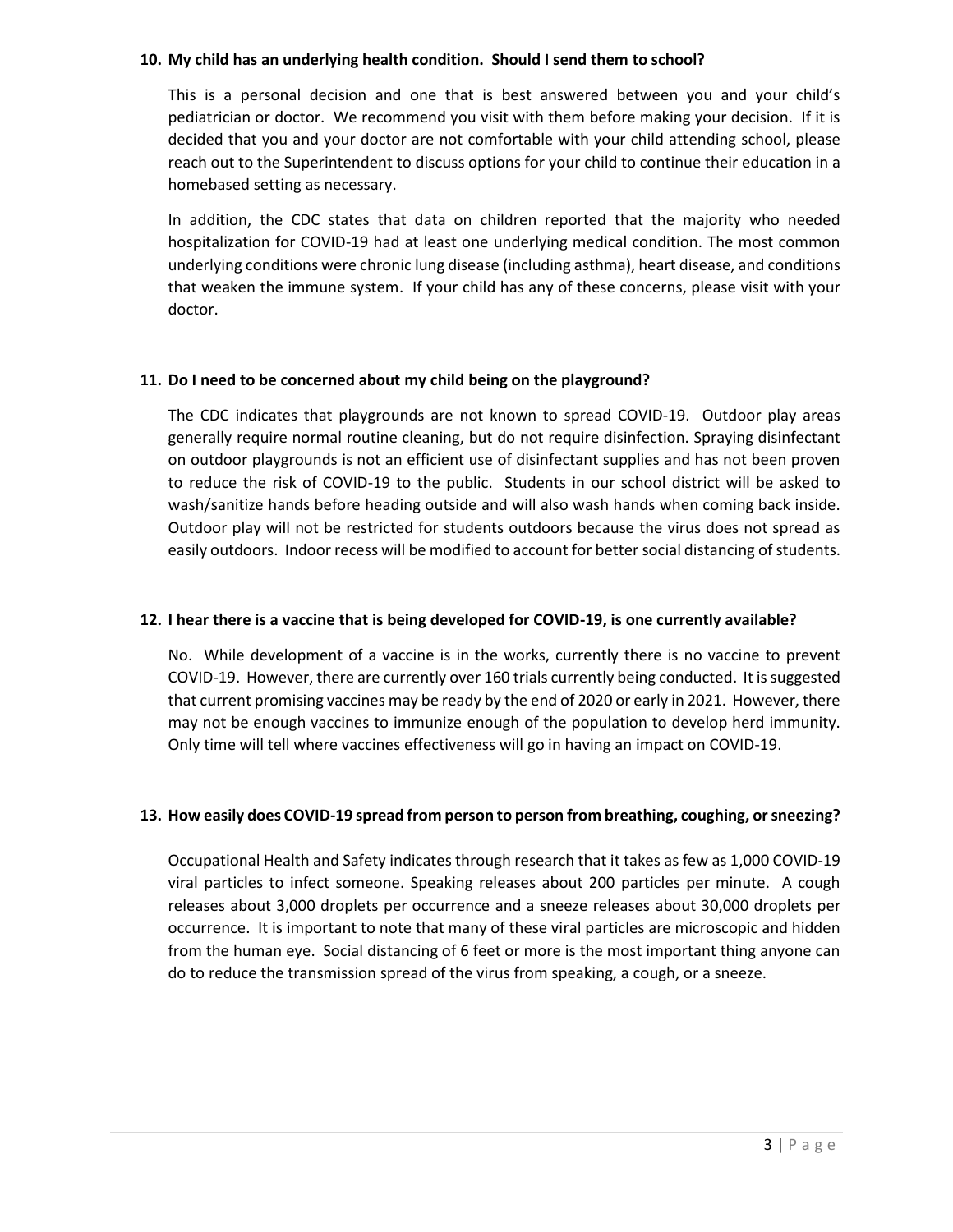#### **10. My child has an underlying health condition. Should I send them to school?**

This is a personal decision and one that is best answered between you and your child's pediatrician or doctor. We recommend you visit with them before making your decision. If it is decided that you and your doctor are not comfortable with your child attending school, please reach out to the Superintendent to discuss options for your child to continue their education in a homebased setting as necessary.

In addition, the CDC states that data on children reported that the majority who needed hospitalization for COVID-19 had at least one underlying medical condition. The most common underlying conditions were chronic lung disease (including asthma), heart disease, and conditions that weaken the immune system. If your child has any of these concerns, please visit with your doctor.

#### **11. Do I need to be concerned about my child being on the playground?**

The CDC indicates that playgrounds are not known to spread COVID-19. Outdoor play areas generally require normal routine cleaning, but do not require disinfection. Spraying disinfectant on outdoor playgrounds is not an efficient use of disinfectant supplies and has not been proven to reduce the risk of COVID-19 to the public. Students in our school district will be asked to wash/sanitize hands before heading outside and will also wash hands when coming back inside. Outdoor play will not be restricted for students outdoors because the virus does not spread as easily outdoors. Indoor recess will be modified to account for better social distancing of students.

#### **12. I hear there is a vaccine that is being developed for COVID-19, is one currently available?**

No. While development of a vaccine is in the works, currently there is no vaccine to prevent COVID-19. However, there are currently over 160 trials currently being conducted. It is suggested that current promising vaccines may be ready by the end of 2020 or early in 2021. However, there may not be enough vaccines to immunize enough of the population to develop herd immunity. Only time will tell where vaccines effectiveness will go in having an impact on COVID-19.

#### **13. How easily does COVID-19 spread from person to person from breathing, coughing, or sneezing?**

Occupational Health and Safety indicates through research that it takes as few as 1,000 COVID-19 viral particles to infect someone. Speaking releases about 200 particles per minute. A cough releases about 3,000 droplets per occurrence and a sneeze releases about 30,000 droplets per occurrence. It is important to note that many of these viral particles are microscopic and hidden from the human eye. Social distancing of 6 feet or more is the most important thing anyone can do to reduce the transmission spread of the virus from speaking, a cough, or a sneeze.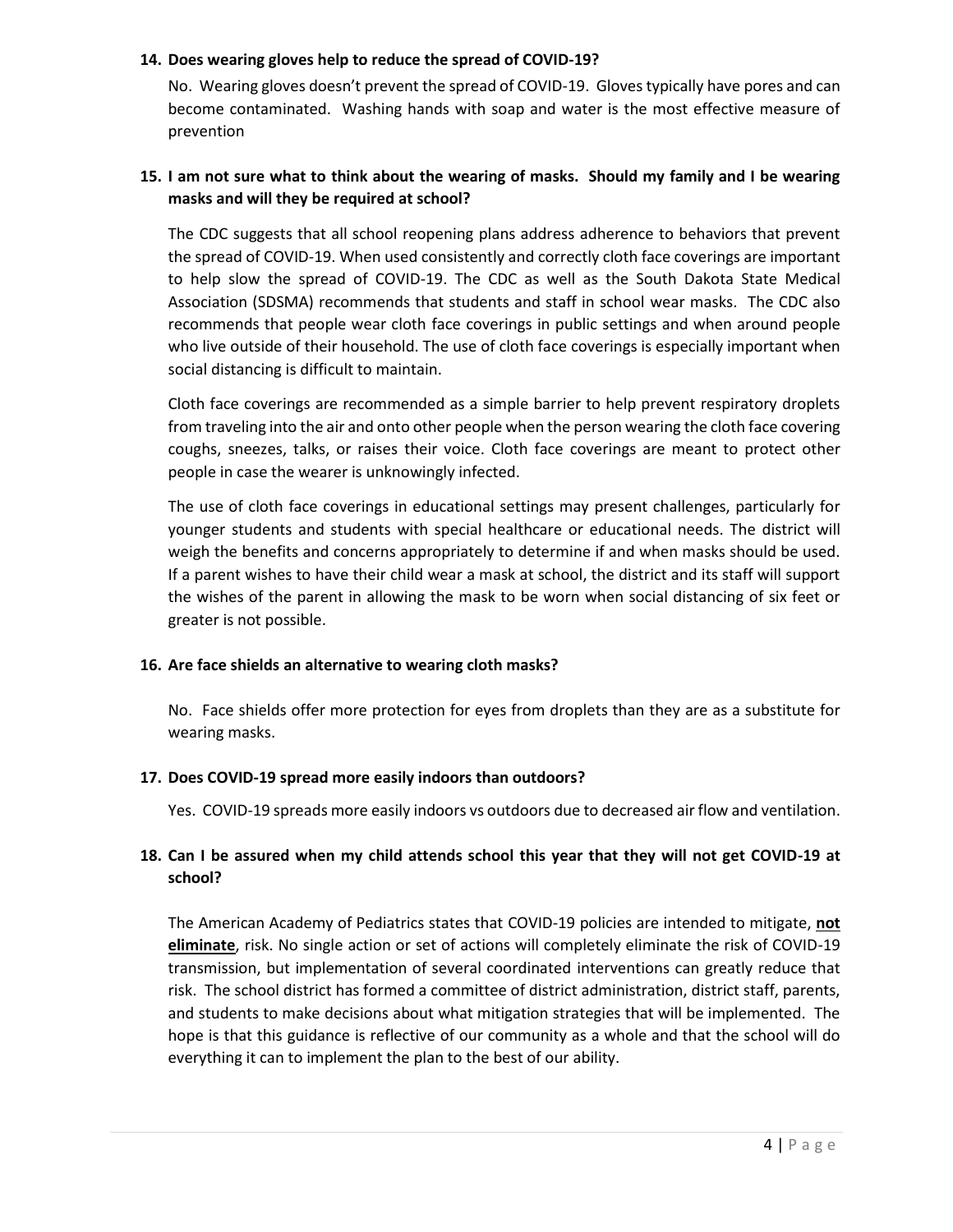#### **14. Does wearing gloves help to reduce the spread of COVID-19?**

No. Wearing gloves doesn't prevent the spread of COVID-19. Gloves typically have pores and can become contaminated. Washing hands with soap and water is the most effective measure of prevention

### **15. I am not sure what to think about the wearing of masks. Should my family and I be wearing masks and will they be required at school?**

The CDC suggests that all school reopening plans address adherence to behaviors that prevent the spread of COVID-19. When used consistently and correctly cloth face coverings are important to help slow the spread of COVID-19. The CDC as well as the South Dakota State Medical Association (SDSMA) recommends that students and staff in school wear masks. The CDC also recommends that people wear cloth face coverings in public settings and when around people who live outside of their household. The use of cloth face coverings is especially important when social distancing is difficult to maintain.

Cloth face coverings are recommended as a simple barrier to help prevent respiratory droplets from traveling into the air and onto other people when the person wearing the cloth face covering coughs, sneezes, talks, or raises their voice. Cloth face coverings are meant to protect other people in case the wearer is unknowingly infected.

The use of cloth face coverings in educational settings may present challenges, particularly for younger students and students with special healthcare or educational needs. The district will weigh the benefits and concerns appropriately to determine if and when masks should be used. If a parent wishes to have their child wear a mask at school, the district and its staff will support the wishes of the parent in allowing the mask to be worn when social distancing of six feet or greater is not possible.

#### **16. Are face shields an alternative to wearing cloth masks?**

No. Face shields offer more protection for eyes from droplets than they are as a substitute for wearing masks.

#### **17. Does COVID-19 spread more easily indoors than outdoors?**

Yes. COVID-19 spreads more easily indoors vs outdoors due to decreased air flow and ventilation.

# **18. Can I be assured when my child attends school this year that they will not get COVID-19 at school?**

The American Academy of Pediatrics states that COVID-19 policies are intended to mitigate, **not eliminate**, risk. No single action or set of actions will completely eliminate the risk of COVID-19 transmission, but implementation of several coordinated interventions can greatly reduce that risk. The school district has formed a committee of district administration, district staff, parents, and students to make decisions about what mitigation strategies that will be implemented. The hope is that this guidance is reflective of our community as a whole and that the school will do everything it can to implement the plan to the best of our ability.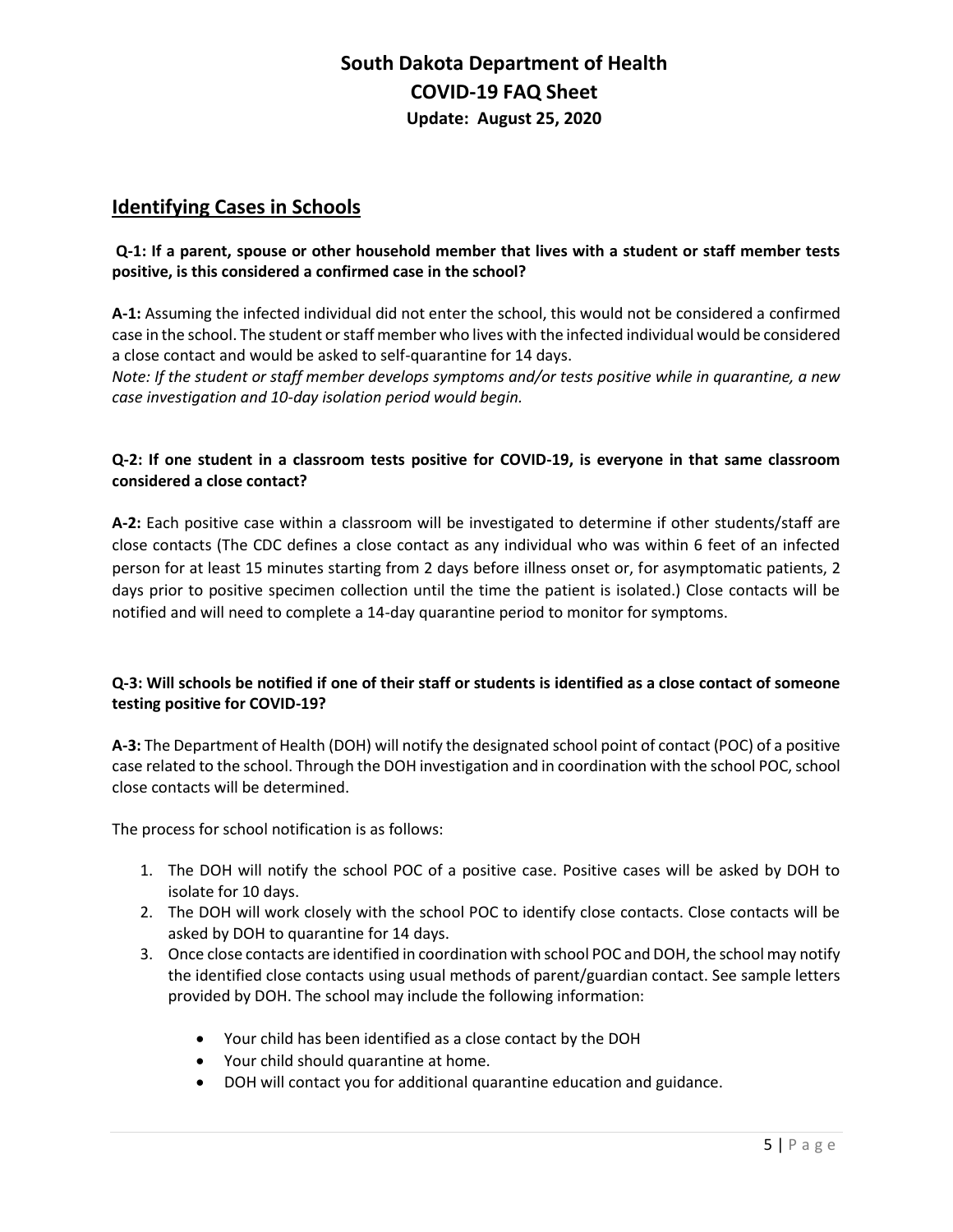# **South Dakota Department of Health COVID-19 FAQ Sheet Update: August 25, 2020**

# **Identifying Cases in Schools**

### **Q-1: If a parent, spouse or other household member that lives with a student or staff member tests positive, is this considered a confirmed case in the school?**

**A-1:** Assuming the infected individual did not enter the school, this would not be considered a confirmed case in the school. The student or staff member who lives with the infected individual would be considered a close contact and would be asked to self-quarantine for 14 days.

*Note: If the student or staff member develops symptoms and/or tests positive while in quarantine, a new case investigation and 10-day isolation period would begin.* 

### **Q-2: If one student in a classroom tests positive for COVID-19, is everyone in that same classroom considered a close contact?**

**A-2:** Each positive case within a classroom will be investigated to determine if other students/staff are close contacts (The CDC defines a close contact as any individual who was within 6 feet of an infected person for at least 15 minutes starting from 2 days before illness onset or, for asymptomatic patients, 2 days prior to positive specimen collection until the time the patient is isolated.) Close contacts will be notified and will need to complete a 14-day quarantine period to monitor for symptoms.

# **Q-3: Will schools be notified if one of their staff or students is identified as a close contact of someone testing positive for COVID-19?**

**A-3:** The Department of Health (DOH) will notify the designated school point of contact (POC) of a positive case related to the school. Through the DOH investigation and in coordination with the school POC, school close contacts will be determined.

The process for school notification is as follows:

- 1. The DOH will notify the school POC of a positive case. Positive cases will be asked by DOH to isolate for 10 days.
- 2. The DOH will work closely with the school POC to identify close contacts. Close contacts will be asked by DOH to quarantine for 14 days.
- 3. Once close contacts are identified in coordination with school POC and DOH, the school may notify the identified close contacts using usual methods of parent/guardian contact. See sample letters provided by DOH. The school may include the following information:
	- Your child has been identified as a close contact by the DOH
	- Your child should quarantine at home.
	- DOH will contact you for additional quarantine education and guidance.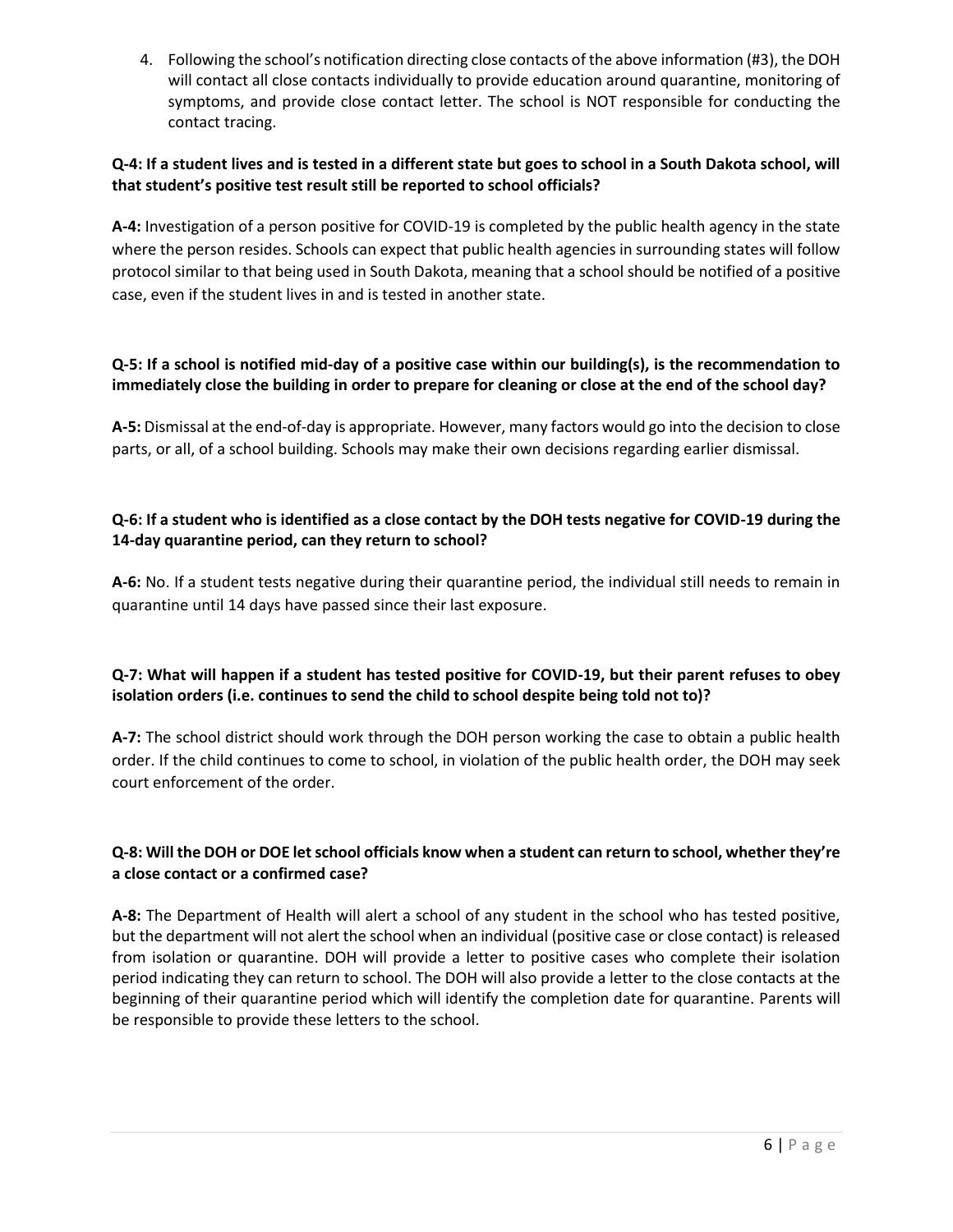4. Following the school's notification directing close contacts of the above information (#3), the DOH will contact all close contacts individually to provide education around quarantine, monitoring of symptoms, and provide close contact letter. The school is NOT responsible for conducting the contact tracing.

### **Q-4: If a student lives and is tested in a different state but goes to school in a South Dakota school, will that student's positive test result still be reported to school officials?**

**A-4:** Investigation of a person positive for COVID-19 is completed by the public health agency in the state where the person resides. Schools can expect that public health agencies in surrounding states will follow protocol similar to that being used in South Dakota, meaning that a school should be notified of a positive case, even if the student lives in and is tested in another state.

# **Q-5: If a school is notified mid-day of a positive case within our building(s), is the recommendation to immediately close the building in order to prepare for cleaning or close at the end of the school day?**

**A-5:** Dismissal at the end-of-day is appropriate. However, many factors would go into the decision to close parts, or all, of a school building. Schools may make their own decisions regarding earlier dismissal.

# **Q-6: If a student who is identified as a close contact by the DOH tests negative for COVID-19 during the 14-day quarantine period, can they return to school?**

**A-6:** No. If a student tests negative during their quarantine period, the individual still needs to remain in quarantine until 14 days have passed since their last exposure.

# **Q-7: What will happen if a student has tested positive for COVID-19, but their parent refuses to obey isolation orders (i.e. continues to send the child to school despite being told not to)?**

**A-7:** The school district should work through the DOH person working the case to obtain a public health order. If the child continues to come to school, in violation of the public health order, the DOH may seek court enforcement of the order.

# **Q-8: Will the DOH or DOE let school officials know when a student can return to school, whether they're a close contact or a confirmed case?**

**A-8:** The Department of Health will alert a school of any student in the school who has tested positive, but the department will not alert the school when an individual (positive case or close contact) is released from isolation or quarantine. DOH will provide a letter to positive cases who complete their isolation period indicating they can return to school. The DOH will also provide a letter to the close contacts at the beginning of their quarantine period which will identify the completion date for quarantine. Parents will be responsible to provide these letters to the school.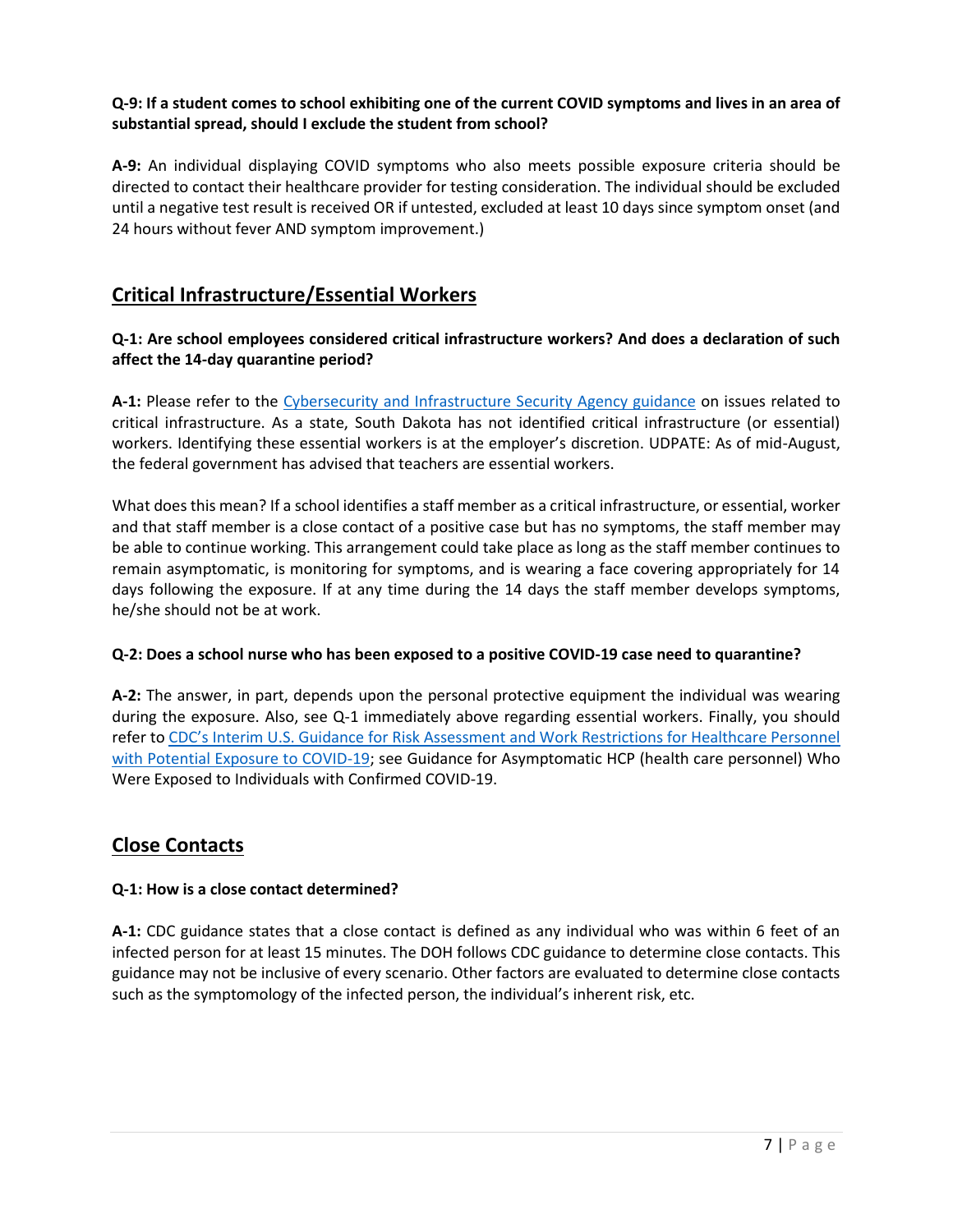# **Q-9: If a student comes to school exhibiting one of the current COVID symptoms and lives in an area of substantial spread, should I exclude the student from school?**

**A-9:** An individual displaying COVID symptoms who also meets possible exposure criteria should be directed to contact their healthcare provider for testing consideration. The individual should be excluded until a negative test result is received OR if untested, excluded at least 10 days since symptom onset (and 24 hours without fever AND symptom improvement.)

# **Critical Infrastructure/Essential Workers**

# **Q-1: Are school employees considered critical infrastructure workers? And does a declaration of such affect the 14-day quarantine period?**

**A-1:** Please refer to the [Cybersecurity and Infrastructure Security Agency guidance](https://www.cisa.gov/publication/guidance-essential-critical-infrastructure-workforce) on issues related to critical infrastructure. As a state, South Dakota has not identified critical infrastructure (or essential) workers. Identifying these essential workers is at the employer's discretion. UDPATE: As of mid-August, the federal government has advised that teachers are essential workers.

What does this mean? If a school identifies a staff member as a critical infrastructure, or essential, worker and that staff member is a close contact of a positive case but has no symptoms, the staff member may be able to continue working. This arrangement could take place as long as the staff member continues to remain asymptomatic, is monitoring for symptoms, and is wearing a face covering appropriately for 14 days following the exposure. If at any time during the 14 days the staff member develops symptoms, he/she should not be at work.

#### **Q-2: Does a school nurse who has been exposed to a positive COVID-19 case need to quarantine?**

**A-2:** The answer, in part, depends upon the personal protective equipment the individual was wearing during the exposure. Also, see Q-1 immediately above regarding essential workers. Finally, you should refer to [CDC's Interim U.S. Guidance for Risk Assessment and Work Restrictions for Healthcare Personnel](https://www.cdc.gov/coronavirus/2019-ncov/hcp/guidance-risk-assesment-hcp.html)  [with Potential Exposure to](https://www.cdc.gov/coronavirus/2019-ncov/hcp/guidance-risk-assesment-hcp.html) COVID-19; see Guidance for Asymptomatic HCP (health care personnel) Who Were Exposed to Individuals with Confirmed COVID-19.

# **Close Contacts**

# **Q-1: How is a close contact determined?**

**A-1:** CDC guidance states that a close contact is defined as any individual who was within 6 feet of an infected person for at least 15 minutes. The DOH follows CDC guidance to determine close contacts. This guidance may not be inclusive of every scenario. Other factors are evaluated to determine close contacts such as the symptomology of the infected person, the individual's inherent risk, etc.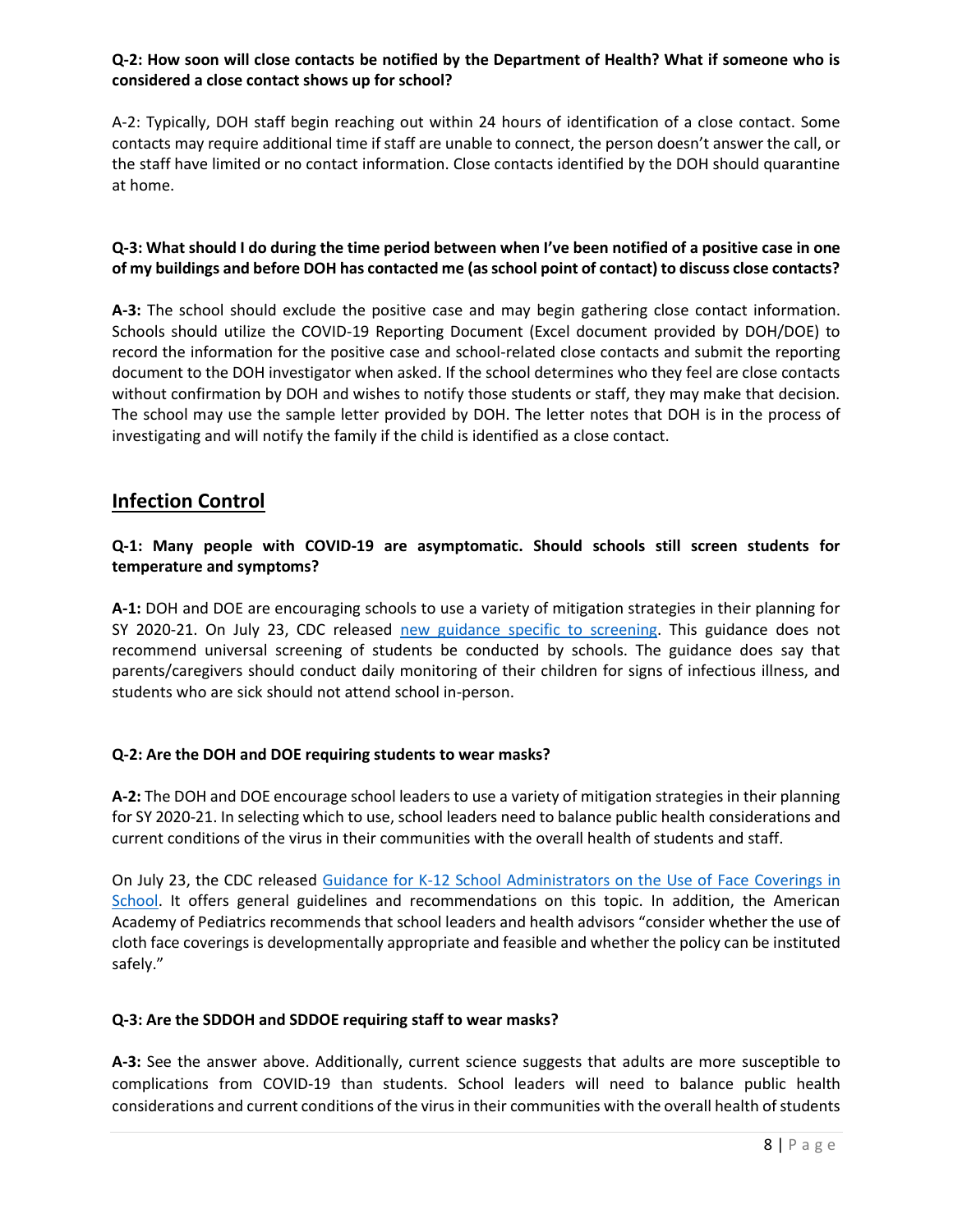### **Q-2: How soon will close contacts be notified by the Department of Health? What if someone who is considered a close contact shows up for school?**

A-2: Typically, DOH staff begin reaching out within 24 hours of identification of a close contact. Some contacts may require additional time if staff are unable to connect, the person doesn't answer the call, or the staff have limited or no contact information. Close contacts identified by the DOH should quarantine at home.

### **Q-3: What should I do during the time period between when I've been notified of a positive case in one of my buildings and before DOH has contacted me (as school point of contact) to discuss close contacts?**

**A-3:** The school should exclude the positive case and may begin gathering close contact information. Schools should utilize the COVID-19 Reporting Document (Excel document provided by DOH/DOE) to record the information for the positive case and school-related close contacts and submit the reporting document to the DOH investigator when asked. If the school determines who they feel are close contacts without confirmation by DOH and wishes to notify those students or staff, they may make that decision. The school may use the sample letter provided by DOH. The letter notes that DOH is in the process of investigating and will notify the family if the child is identified as a close contact.

# **Infection Control**

#### **Q-1: Many people with COVID-19 are asymptomatic. Should schools still screen students for temperature and symptoms?**

**A-1:** DOH and DOE are encouraging schools to use a variety of mitigation strategies in their planning for SY 2020-21. On July 23, CDC released [new guidance specific to screening.](https://www.cdc.gov/coronavirus/2019-ncov/community/schools-childcare/symptom-screening.html) This guidance does not recommend universal screening of students be conducted by schools. The guidance does say that parents/caregivers should conduct daily monitoring of their children for signs of infectious illness, and students who are sick should not attend school in-person.

#### **Q-2: Are the DOH and DOE requiring students to wear masks?**

**A-2:** The DOH and DOE encourage school leaders to use a variety of mitigation strategies in their planning for SY 2020-21. In selecting which to use, school leaders need to balance public health considerations and current conditions of the virus in their communities with the overall health of students and staff.

On July 23, the CDC released [Guidance for K-12 School Administrators on the Use of](https://www.cdc.gov/coronavirus/2019-ncov/community/schools-childcare/cloth-face-cover.html) Face Coverings in [School.](https://www.cdc.gov/coronavirus/2019-ncov/community/schools-childcare/cloth-face-cover.html) It offers general guidelines and recommendations on this topic. In addition, the American Academy of Pediatrics recommends that school leaders and health advisors "consider whether the use of cloth face coverings is developmentally appropriate and feasible and whether the policy can be instituted safely."

#### **Q-3: Are the SDDOH and SDDOE requiring staff to wear masks?**

**A-3:** See the answer above. Additionally, current science suggests that adults are more susceptible to complications from COVID-19 than students. School leaders will need to balance public health considerations and current conditions of the virus in their communities with the overall health of students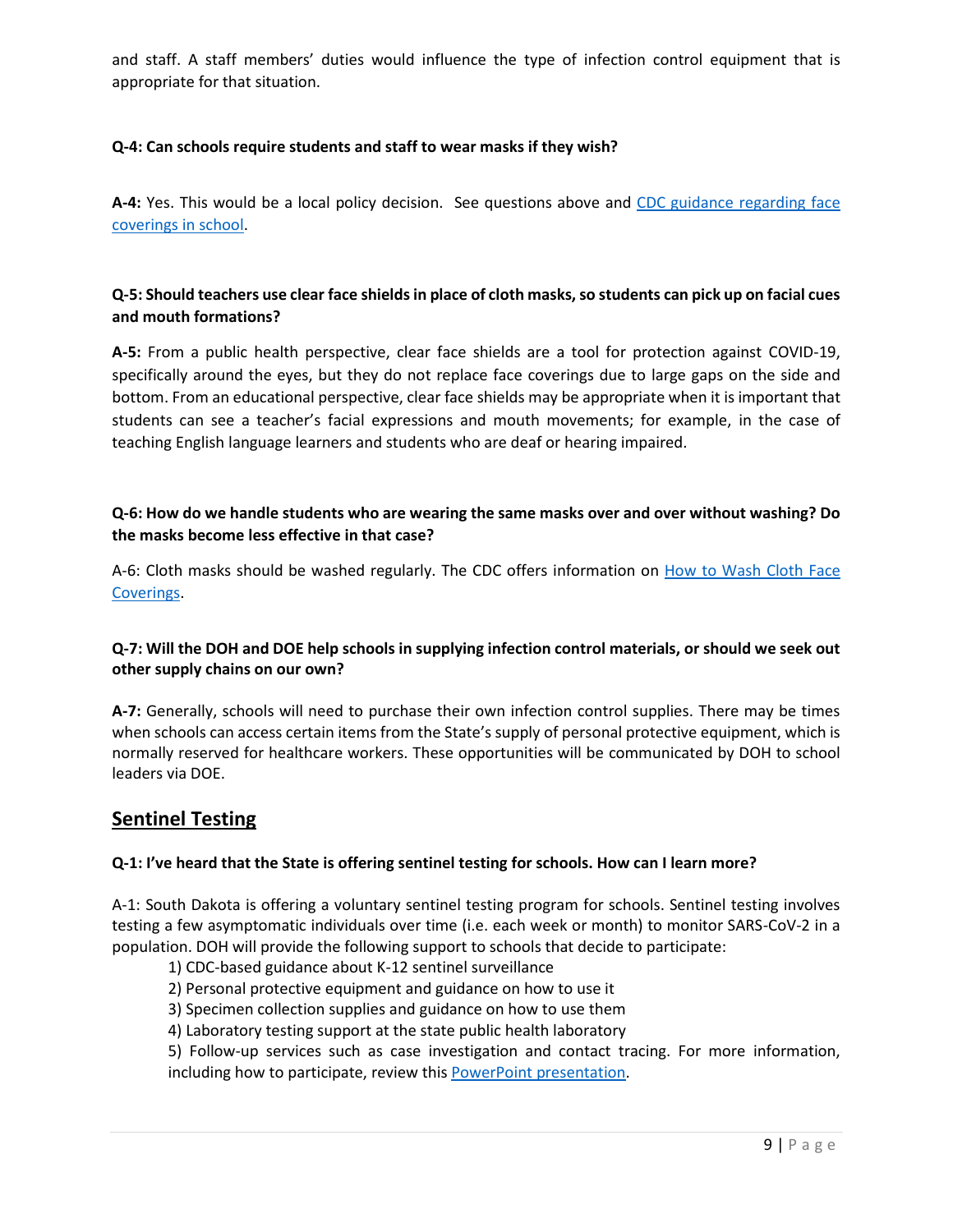and staff. A staff members' duties would influence the type of infection control equipment that is appropriate for that situation.

### **Q-4: Can schools require students and staff to wear masks if they wish?**

**A-4:** Yes. This would be a local policy decision. See questions above and [CDC guidance regarding face](https://www.cdc.gov/coronavirus/2019-ncov/community/schools-childcare/cloth-face-cover.html)  [coverings in school.](https://www.cdc.gov/coronavirus/2019-ncov/community/schools-childcare/cloth-face-cover.html)

### **Q-5: Should teachers use clear face shields in place of cloth masks, so students can pick up on facial cues and mouth formations?**

**A-5:** From a public health perspective, clear face shields are a tool for protection against COVID-19, specifically around the eyes, but they do not replace face coverings due to large gaps on the side and bottom. From an educational perspective, clear face shields may be appropriate when it is important that students can see a teacher's facial expressions and mouth movements; for example, in the case of teaching English language learners and students who are deaf or hearing impaired.

#### **Q-6: How do we handle students who are wearing the same masks over and over without washing? Do the masks become less effective in that case?**

A-6: Cloth masks should be washed regularly. The CDC offers information on **How to Wash Cloth Face** [Coverings.](https://www.cdc.gov/coronavirus/2019-ncov/prevent-getting-sick/how-to-wash-cloth-face-coverings.html)

#### **Q-7: Will the DOH and DOE help schools in supplying infection control materials, or should we seek out other supply chains on our own?**

**A-7:** Generally, schools will need to purchase their own infection control supplies. There may be times when schools can access certain items from the State's supply of personal protective equipment, which is normally reserved for healthcare workers. These opportunities will be communicated by DOH to school leaders via DOE.

# **Sentinel Testing**

#### **Q-1: I've heard that the State is offering sentinel testing for schools. How can I learn more?**

A-1: South Dakota is offering a voluntary sentinel testing program for schools. Sentinel testing involves testing a few asymptomatic individuals over time (i.e. each week or month) to monitor SARS-CoV-2 in a population. DOH will provide the following support to schools that decide to participate:

- 1) CDC-based guidance about K-12 sentinel surveillance
- 2) Personal protective equipment and guidance on how to use it
- 3) Specimen collection supplies and guidance on how to use them
- 4) Laboratory testing support at the state public health laboratory

5) Follow-up services such as case investigation and contact tracing. For more information, including how to participate, review this **PowerPoint presentation**.